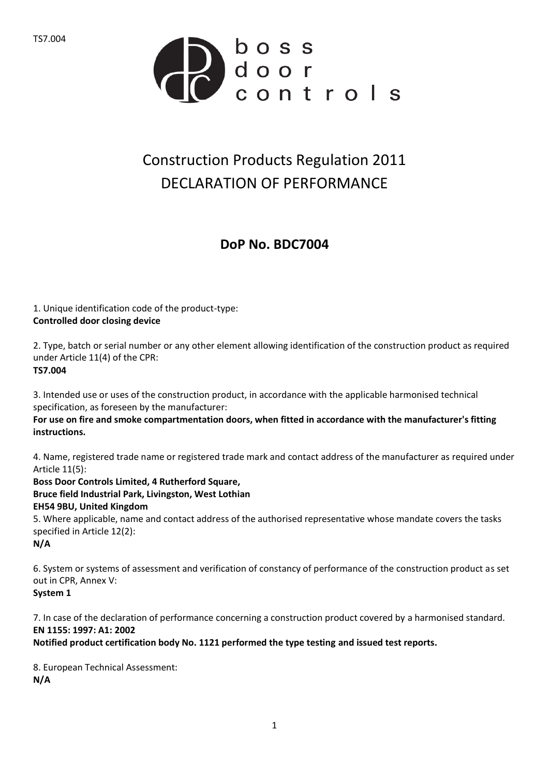

## Construction Products Regulation 2011 DECLARATION OF PERFORMANCE

## **DoP No. BDC7004**

1. Unique identification code of the product-type: **Controlled door closing device**

2. Type, batch or serial number or any other element allowing identification of the construction product as required under Article 11(4) of the CPR: **TS7.004**

3. Intended use or uses of the construction product, in accordance with the applicable harmonised technical specification, as foreseen by the manufacturer:

**For use on fire and smoke compartmentation doors, when fitted in accordance with the manufacturer's fitting instructions.**

4. Name, registered trade name or registered trade mark and contact address of the manufacturer as required under Article 11(5):

**Boss Door Controls Limited, 4 Rutherford Square, Bruce field Industrial Park, Livingston, West Lothian EH54 9BU, United Kingdom** 5. Where applicable, name and contact address of the authorised representative whose mandate covers the tasks specified in Article 12(2):

**N/A**

6. System or systems of assessment and verification of constancy of performance of the construction product as set out in CPR, Annex V:

**System 1**

7. In case of the declaration of performance concerning a construction product covered by a harmonised standard. **EN 1155: 1997: A1: 2002**

**Notified product certification body No. 1121 performed the type testing and issued test reports.**

8. European Technical Assessment: **N/A**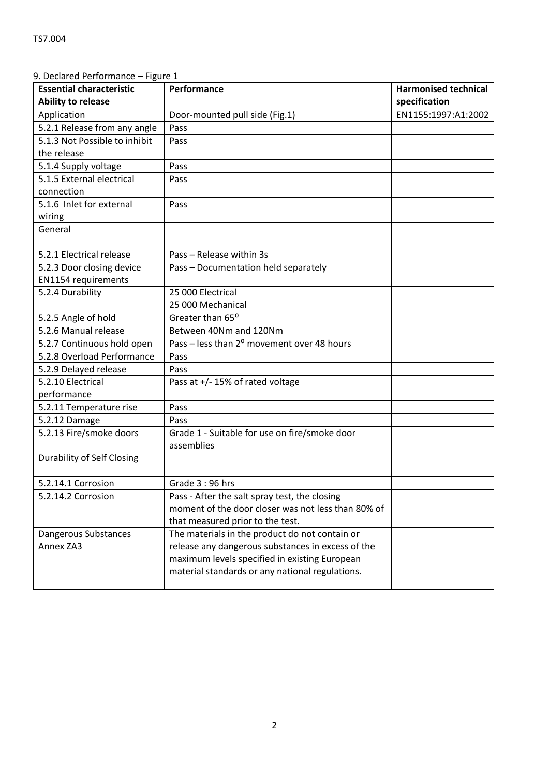| <b>Essential characteristic</b><br><b>Ability to release</b> | Performance                                            | <b>Harmonised technical</b><br>specification |
|--------------------------------------------------------------|--------------------------------------------------------|----------------------------------------------|
| Application                                                  | Door-mounted pull side (Fig.1)                         | EN1155:1997:A1:2002                          |
| 5.2.1 Release from any angle                                 | Pass                                                   |                                              |
| 5.1.3 Not Possible to inhibit                                | Pass                                                   |                                              |
| the release                                                  |                                                        |                                              |
| 5.1.4 Supply voltage                                         | Pass                                                   |                                              |
| 5.1.5 External electrical                                    | Pass                                                   |                                              |
| connection                                                   |                                                        |                                              |
| 5.1.6 Inlet for external                                     | Pass                                                   |                                              |
| wiring                                                       |                                                        |                                              |
| General                                                      |                                                        |                                              |
|                                                              |                                                        |                                              |
| 5.2.1 Electrical release                                     | Pass - Release within 3s                               |                                              |
| 5.2.3 Door closing device                                    | Pass - Documentation held separately                   |                                              |
| <b>EN1154 requirements</b>                                   |                                                        |                                              |
| 5.2.4 Durability                                             | 25 000 Electrical                                      |                                              |
|                                                              | 25 000 Mechanical                                      |                                              |
| 5.2.5 Angle of hold                                          | Greater than 65°                                       |                                              |
| 5.2.6 Manual release                                         | Between 40Nm and 120Nm                                 |                                              |
| 5.2.7 Continuous hold open                                   | Pass - less than 2 <sup>o</sup> movement over 48 hours |                                              |
| 5.2.8 Overload Performance                                   | Pass                                                   |                                              |
| 5.2.9 Delayed release                                        | Pass                                                   |                                              |
| 5.2.10 Electrical                                            | Pass at +/-15% of rated voltage                        |                                              |
| performance                                                  |                                                        |                                              |
| 5.2.11 Temperature rise                                      | Pass                                                   |                                              |
| 5.2.12 Damage                                                | Pass                                                   |                                              |
| 5.2.13 Fire/smoke doors                                      | Grade 1 - Suitable for use on fire/smoke door          |                                              |
|                                                              | assemblies                                             |                                              |
| <b>Durability of Self Closing</b>                            |                                                        |                                              |
| 5.2.14.1 Corrosion                                           | Grade 3:96 hrs                                         |                                              |
| 5.2.14.2 Corrosion                                           | Pass - After the salt spray test, the closing          |                                              |
|                                                              | moment of the door closer was not less than 80% of     |                                              |
|                                                              | that measured prior to the test.                       |                                              |
| Dangerous Substances                                         | The materials in the product do not contain or         |                                              |
| Annex ZA3                                                    | release any dangerous substances in excess of the      |                                              |
|                                                              | maximum levels specified in existing European          |                                              |
|                                                              | material standards or any national regulations.        |                                              |
|                                                              |                                                        |                                              |

## 9. Declared Performance – Figure 1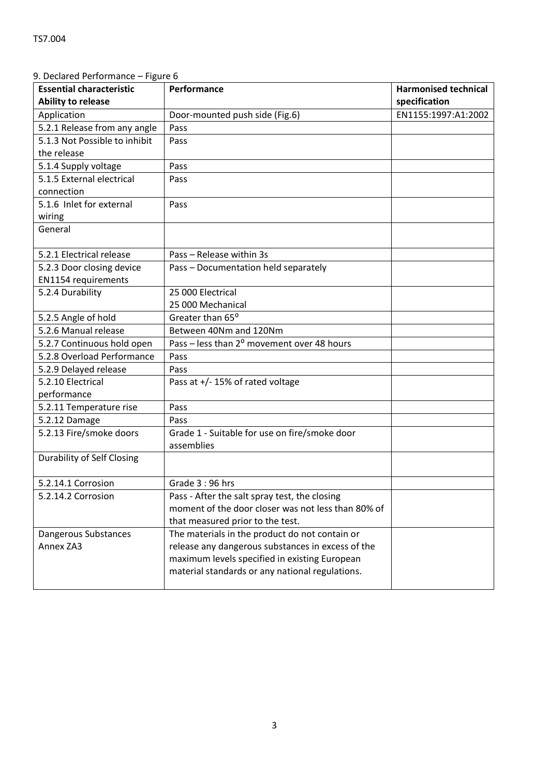| <b>Essential characteristic</b>   | Performance                                            | <b>Harmonised technical</b> |
|-----------------------------------|--------------------------------------------------------|-----------------------------|
| <b>Ability to release</b>         |                                                        | specification               |
| Application                       | Door-mounted push side (Fig.6)                         | EN1155:1997:A1:2002         |
| 5.2.1 Release from any angle      | Pass                                                   |                             |
| 5.1.3 Not Possible to inhibit     | Pass                                                   |                             |
| the release                       |                                                        |                             |
| 5.1.4 Supply voltage              | Pass                                                   |                             |
| 5.1.5 External electrical         | Pass                                                   |                             |
| connection                        |                                                        |                             |
| 5.1.6 Inlet for external          | Pass                                                   |                             |
| wiring                            |                                                        |                             |
| General                           |                                                        |                             |
| 5.2.1 Electrical release          | Pass - Release within 3s                               |                             |
| 5.2.3 Door closing device         | Pass - Documentation held separately                   |                             |
| <b>EN1154 requirements</b>        |                                                        |                             |
| 5.2.4 Durability                  | 25 000 Electrical                                      |                             |
|                                   | 25 000 Mechanical                                      |                             |
| 5.2.5 Angle of hold               | Greater than 65°                                       |                             |
| 5.2.6 Manual release              | Between 40Nm and 120Nm                                 |                             |
| 5.2.7 Continuous hold open        | Pass - less than 2 <sup>o</sup> movement over 48 hours |                             |
| 5.2.8 Overload Performance        | Pass                                                   |                             |
| 5.2.9 Delayed release             | Pass                                                   |                             |
| 5.2.10 Electrical                 | Pass at $+/-$ 15% of rated voltage                     |                             |
| performance                       |                                                        |                             |
| 5.2.11 Temperature rise           | Pass                                                   |                             |
| 5.2.12 Damage                     | Pass                                                   |                             |
| 5.2.13 Fire/smoke doors           | Grade 1 - Suitable for use on fire/smoke door          |                             |
|                                   | assemblies                                             |                             |
| <b>Durability of Self Closing</b> |                                                        |                             |
| 5.2.14.1 Corrosion                | Grade 3:96 hrs                                         |                             |
| 5.2.14.2 Corrosion                | Pass - After the salt spray test, the closing          |                             |
|                                   | moment of the door closer was not less than 80% of     |                             |
|                                   | that measured prior to the test.                       |                             |
| Dangerous Substances              | The materials in the product do not contain or         |                             |
| Annex ZA3                         | release any dangerous substances in excess of the      |                             |
|                                   | maximum levels specified in existing European          |                             |
|                                   | material standards or any national regulations.        |                             |
|                                   |                                                        |                             |